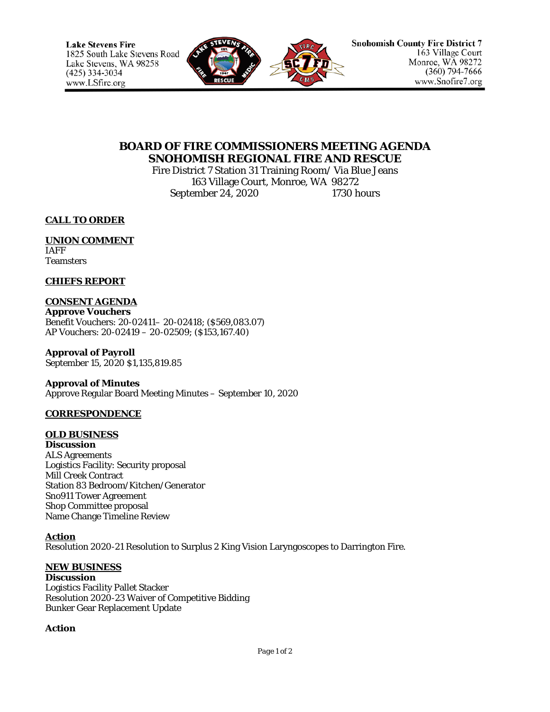

# **BOARD OF FIRE COMMISSIONERS MEETING AGENDA SNOHOMISH REGIONAL FIRE AND RESCUE**

Fire District 7 Station 31 Training Room/ Via Blue Jeans 163 Village Court, Monroe, WA 98272 September 24, 2020 1730 hours

**CALL TO ORDER**

## **UNION COMMENT** IAFF

**Teamsters** 

## **CHIEFS REPORT**

## **CONSENT AGENDA**

**Approve Vouchers** Benefit Vouchers: 20-02411– 20-02418; (\$569,083.07) AP Vouchers: 20-02419 – 20-02509; (\$153,167.40)

**Approval of Payroll** September 15, 2020 \$1,135,819.85

### **Approval of Minutes**

Approve Regular Board Meeting Minutes – September 10, 2020

## **CORRESPONDENCE**

## **OLD BUSINESS**

**Discussion** ALS Agreements Logistics Facility: Security proposal Mill Creek Contract Station 83 Bedroom/Kitchen/Generator Sno911 Tower Agreement Shop Committee proposal Name Change Timeline Review

## **Action**

Resolution 2020-21 Resolution to Surplus 2 King Vision Laryngoscopes to Darrington Fire.

# **NEW BUSINESS**

**Discussion** Logistics Facility Pallet Stacker Resolution 2020-23 Waiver of Competitive Bidding Bunker Gear Replacement Update

## **Action**